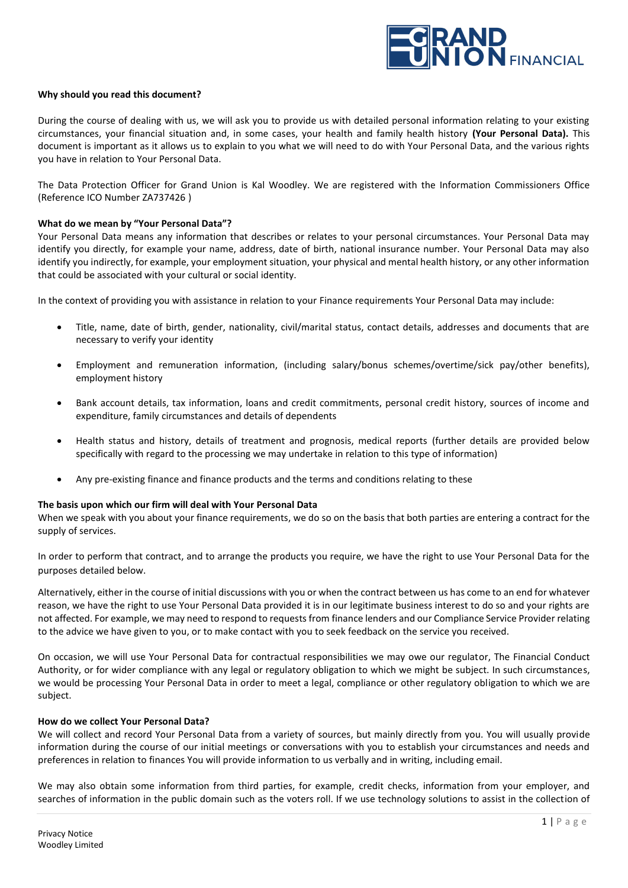

### **Why should you read this document?**

During the course of dealing with us, we will ask you to provide us with detailed personal information relating to your existing circumstances, your financial situation and, in some cases, your health and family health history **(Your Personal Data).** This document is important as it allows us to explain to you what we will need to do with Your Personal Data, and the various rights you have in relation to Your Personal Data.

The Data Protection Officer for Grand Union is Kal Woodley. We are registered with the Information Commissioners Office (Reference ICO Number ZA737426 )

### **What do we mean by "Your Personal Data"?**

Your Personal Data means any information that describes or relates to your personal circumstances. Your Personal Data may identify you directly, for example your name, address, date of birth, national insurance number. Your Personal Data may also identify you indirectly, for example, your employment situation, your physical and mental health history, or any other information that could be associated with your cultural or social identity.

In the context of providing you with assistance in relation to your Finance requirements Your Personal Data may include:

- Title, name, date of birth, gender, nationality, civil/marital status, contact details, addresses and documents that are necessary to verify your identity
- Employment and remuneration information, (including salary/bonus schemes/overtime/sick pay/other benefits), employment history
- Bank account details, tax information, loans and credit commitments, personal credit history, sources of income and expenditure, family circumstances and details of dependents
- Health status and history, details of treatment and prognosis, medical reports (further details are provided below specifically with regard to the processing we may undertake in relation to this type of information)
- Any pre-existing finance and finance products and the terms and conditions relating to these

#### **The basis upon which our firm will deal with Your Personal Data**

When we speak with you about your finance requirements, we do so on the basis that both parties are entering a contract for the supply of services.

In order to perform that contract, and to arrange the products you require, we have the right to use Your Personal Data for the purposes detailed below.

Alternatively, either in the course of initial discussions with you or when the contract between us has come to an end for whatever reason, we have the right to use Your Personal Data provided it is in our legitimate business interest to do so and your rights are not affected. For example, we may need to respond to requests from finance lenders and our Compliance Service Provider relating to the advice we have given to you, or to make contact with you to seek feedback on the service you received.

On occasion, we will use Your Personal Data for contractual responsibilities we may owe our regulator, The Financial Conduct Authority, or for wider compliance with any legal or regulatory obligation to which we might be subject. In such circumstances, we would be processing Your Personal Data in order to meet a legal, compliance or other regulatory obligation to which we are subject.

#### **How do we collect Your Personal Data?**

We will collect and record Your Personal Data from a variety of sources, but mainly directly from you. You will usually provide information during the course of our initial meetings or conversations with you to establish your circumstances and needs and preferences in relation to finances You will provide information to us verbally and in writing, including email.

We may also obtain some information from third parties, for example, credit checks, information from your employer, and searches of information in the public domain such as the voters roll. If we use technology solutions to assist in the collection of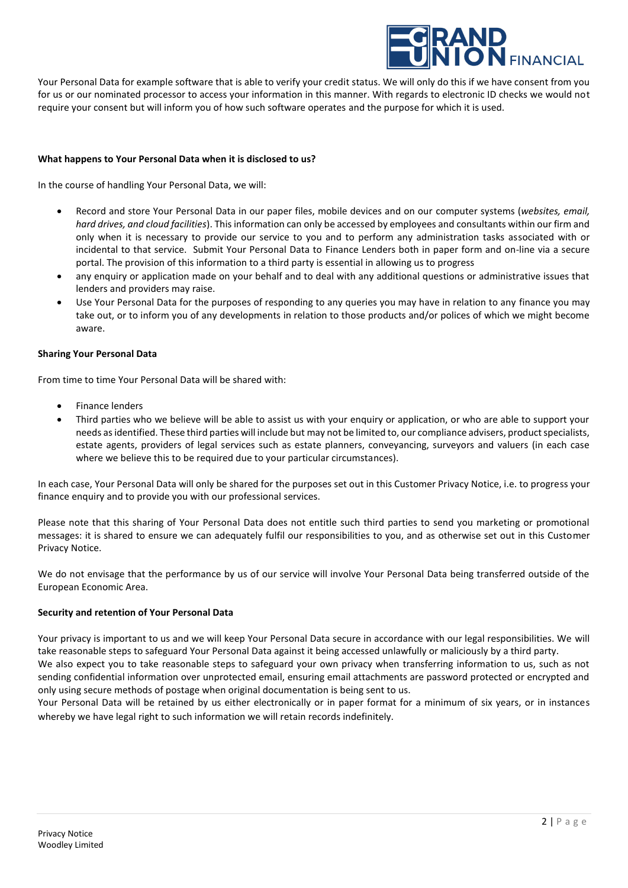

Your Personal Data for example software that is able to verify your credit status. We will only do this if we have consent from you for us or our nominated processor to access your information in this manner. With regards to electronic ID checks we would not require your consent but will inform you of how such software operates and the purpose for which it is used.

# **What happens to Your Personal Data when it is disclosed to us?**

In the course of handling Your Personal Data, we will:

- Record and store Your Personal Data in our paper files, mobile devices and on our computer systems (*websites, email, hard drives, and cloud facilities*). This information can only be accessed by employees and consultants within our firm and only when it is necessary to provide our service to you and to perform any administration tasks associated with or incidental to that service. Submit Your Personal Data to Finance Lenders both in paper form and on-line via a secure portal. The provision of this information to a third party is essential in allowing us to progress
- any enquiry or application made on your behalf and to deal with any additional questions or administrative issues that lenders and providers may raise.
- Use Your Personal Data for the purposes of responding to any queries you may have in relation to any finance you may take out, or to inform you of any developments in relation to those products and/or polices of which we might become aware.

#### **Sharing Your Personal Data**

From time to time Your Personal Data will be shared with:

- Finance lenders
- Third parties who we believe will be able to assist us with your enquiry or application, or who are able to support your needs as identified. These third parties will include but may not be limited to, our compliance advisers, product specialists, estate agents, providers of legal services such as estate planners, conveyancing, surveyors and valuers (in each case where we believe this to be required due to your particular circumstances).

In each case, Your Personal Data will only be shared for the purposes set out in this Customer Privacy Notice, i.e. to progress your finance enquiry and to provide you with our professional services.

Please note that this sharing of Your Personal Data does not entitle such third parties to send you marketing or promotional messages: it is shared to ensure we can adequately fulfil our responsibilities to you, and as otherwise set out in this Customer Privacy Notice.

We do not envisage that the performance by us of our service will involve Your Personal Data being transferred outside of the European Economic Area.

# **Security and retention of Your Personal Data**

Your privacy is important to us and we will keep Your Personal Data secure in accordance with our legal responsibilities. We will take reasonable steps to safeguard Your Personal Data against it being accessed unlawfully or maliciously by a third party. We also expect you to take reasonable steps to safeguard your own privacy when transferring information to us, such as not sending confidential information over unprotected email, ensuring email attachments are password protected or encrypted and only using secure methods of postage when original documentation is being sent to us.

Your Personal Data will be retained by us either electronically or in paper format for a minimum of six years, or in instances whereby we have legal right to such information we will retain records indefinitely.